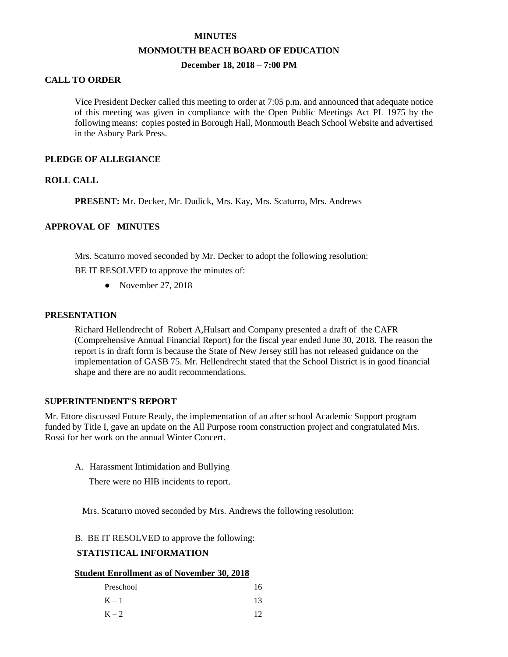### **MINUTES**

### **MONMOUTH BEACH BOARD OF EDUCATION**

# **December 18, 2018 – 7:00 PM**

# **CALL TO ORDER**

Vice President Decker called this meeting to order at 7:05 p.m. and announced that adequate notice of this meeting was given in compliance with the Open Public Meetings Act PL 1975 by the following means: copies posted in Borough Hall, Monmouth Beach School Website and advertised in the Asbury Park Press.

## **PLEDGE OF ALLEGIANCE**

# **ROLL CALL**

**PRESENT:** Mr. Decker, Mr. Dudick, Mrs. Kay, Mrs. Scaturro, Mrs. Andrews

# **APPROVAL OF MINUTES**

Mrs. Scaturro moved seconded by Mr. Decker to adopt the following resolution:

BE IT RESOLVED to approve the minutes of:

• November 27, 2018

# **PRESENTATION**

Richard Hellendrecht of Robert A,Hulsart and Company presented a draft of the CAFR (Comprehensive Annual Financial Report) for the fiscal year ended June 30, 2018. The reason the report is in draft form is because the State of New Jersey still has not released guidance on the implementation of GASB 75. Mr. Hellendrecht stated that the School District is in good financial shape and there are no audit recommendations.

# **SUPERINTENDENT'S REPORT**

Mr. Ettore discussed Future Ready, the implementation of an after school Academic Support program funded by Title I, gave an update on the All Purpose room construction project and congratulated Mrs. Rossi for her work on the annual Winter Concert.

A. Harassment Intimidation and Bullying

There were no HIB incidents to report.

Mrs. Scaturro moved seconded by Mrs. Andrews the following resolution:

# B. BE IT RESOLVED to approve the following:

# **STATISTICAL INFORMATION**

#### **Student Enrollment as of November 30, 2018**

| Preschool | 16  |
|-----------|-----|
| $K - 1$   | 13  |
| $K - 2$   | 12. |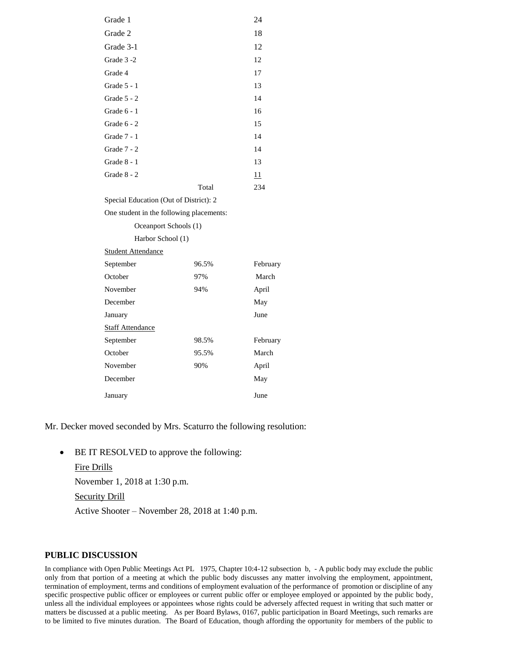| Grade 1                                  |       | 24       |
|------------------------------------------|-------|----------|
| Grade 2                                  |       | 18       |
| Grade 3-1                                |       | 12       |
| Grade 3-2                                |       | 12       |
| Grade 4                                  |       | 17       |
| Grade $5 - 1$                            |       | 13       |
| Grade $5 - 2$                            |       | 14       |
| Grade $6 - 1$                            |       | 16       |
| Grade $6 - 2$                            |       | 15       |
| Grade 7 - 1                              |       | 14       |
| Grade $7 - 2$                            |       | 14       |
| Grade $8 - 1$                            |       | 13       |
| Grade $8 - 2$                            |       | 11       |
|                                          | Total | 234      |
| Special Education (Out of District): 2   |       |          |
| One student in the following placements: |       |          |
| Oceanport Schools (1)                    |       |          |
| Harbor School (1)                        |       |          |
| <b>Student Attendance</b>                |       |          |
| September                                | 96.5% | February |
| October                                  | 97%   | March    |
| November                                 | 94%   | April    |
| December                                 |       | May      |
| January                                  |       | June     |
| <b>Staff Attendance</b>                  |       |          |
| September                                | 98.5% | February |
| October                                  | 95.5% | March    |
| November                                 | 90%   | April    |
| December                                 |       | May      |
| January                                  |       | June     |

Mr. Decker moved seconded by Mrs. Scaturro the following resolution:

• BE IT RESOLVED to approve the following:

```
Fire Drills
November 1, 2018 at 1:30 p.m.
Security Drill
Active Shooter – November 28, 2018 at 1:40 p.m.
```
### **PUBLIC DISCUSSION**

In compliance with Open Public Meetings Act PL 1975, Chapter 10:4-12 subsection b, - A public body may exclude the public only from that portion of a meeting at which the public body discusses any matter involving the employment, appointment, termination of employment, terms and conditions of employment evaluation of the performance of promotion or discipline of any specific prospective public officer or employees or current public offer or employee employed or appointed by the public body, unless all the individual employees or appointees whose rights could be adversely affected request in writing that such matter or matters be discussed at a public meeting. As per Board Bylaws, 0167, public participation in Board Meetings, such remarks are to be limited to five minutes duration. The Board of Education, though affording the opportunity for members of the public to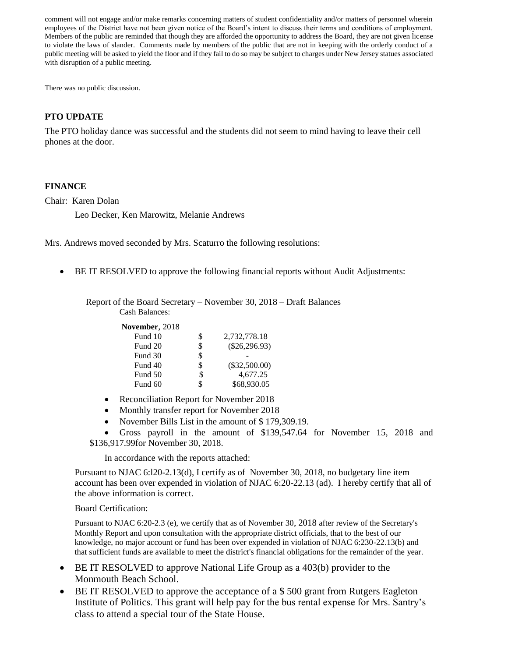comment will not engage and/or make remarks concerning matters of student confidentiality and/or matters of personnel wherein employees of the District have not been given notice of the Board's intent to discuss their terms and conditions of employment. Members of the public are reminded that though they are afforded the opportunity to address the Board, they are not given license to violate the laws of slander. Comments made by members of the public that are not in keeping with the orderly conduct of a public meeting will be asked to yield the floor and if they fail to do so may be subject to charges under New Jersey statues associated with disruption of a public meeting.

There was no public discussion.

# **PTO UPDATE**

The PTO holiday dance was successful and the students did not seem to mind having to leave their cell phones at the door.

# **FINANCE**

Chair: Karen Dolan

Leo Decker, Ken Marowitz, Melanie Andrews

Mrs. Andrews moved seconded by Mrs. Scaturro the following resolutions:

BE IT RESOLVED to approve the following financial reports without Audit Adjustments:

Report of the Board Secretary – November 30, 2018 – Draft Balances

Cash Balances:

**November**, 2018

| Fund 10 |    | 2,732,778.18    |
|---------|----|-----------------|
| Fund 20 | S  | $(\$26,296.93)$ |
| Fund 30 | S  |                 |
| Fund 40 | S  | $(\$32,500.00)$ |
| Fund 50 | \$ | 4.677.25        |
| Fund 60 |    | \$68,930.05     |

- Reconciliation Report for November 2018
- Monthly transfer report for November 2018
- November Bills List in the amount of \$179,309.19.

 Gross payroll in the amount of \$139,547.64 for November 15, 2018 and \$136,917.99for November 30, 2018.

In accordance with the reports attached:

Pursuant to NJAC 6:l20-2.13(d), I certify as of November 30, 2018, no budgetary line item account has been over expended in violation of NJAC 6:20-22.13 (ad). I hereby certify that all of the above information is correct.

### Board Certification:

Pursuant to NJAC 6:20-2.3 (e), we certify that as of November 30, 2018 after review of the Secretary's Monthly Report and upon consultation with the appropriate district officials, that to the best of our knowledge, no major account or fund has been over expended in violation of NJAC 6:230-22.13(b) and that sufficient funds are available to meet the district's financial obligations for the remainder of the year.

- BE IT RESOLVED to approve National Life Group as a 403(b) provider to the Monmouth Beach School.
- BE IT RESOLVED to approve the acceptance of a \$ 500 grant from Rutgers Eagleton Institute of Politics. This grant will help pay for the bus rental expense for Mrs. Santry's class to attend a special tour of the State House.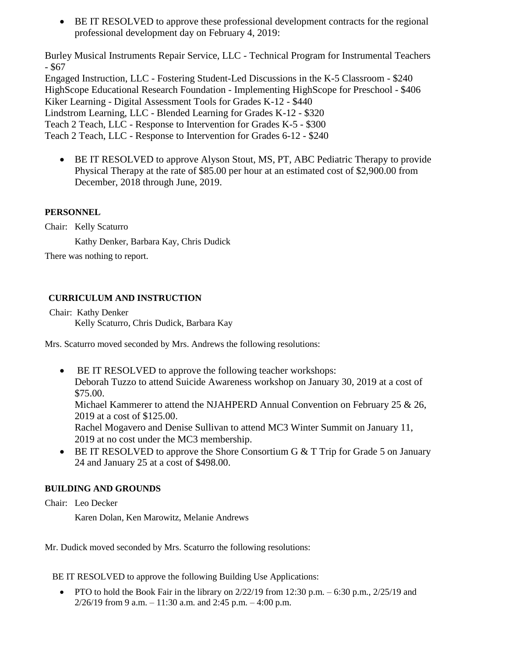BE IT RESOLVED to approve these professional development contracts for the regional professional development day on February 4, 2019:

Burley Musical Instruments Repair Service, LLC - Technical Program for Instrumental Teachers - \$67

Engaged Instruction, LLC - Fostering Student-Led Discussions in the K-5 Classroom - \$240 HighScope Educational Research Foundation - Implementing HighScope for Preschool - \$406 Kiker Learning - Digital Assessment Tools for Grades K-12 - \$440 Lindstrom Learning, LLC - Blended Learning for Grades K-12 - \$320 Teach 2 Teach, LLC - Response to Intervention for Grades K-5 - \$300 Teach 2 Teach, LLC - Response to Intervention for Grades 6-12 - \$240

 BE IT RESOLVED to approve Alyson Stout, MS, PT, ABC Pediatric Therapy to provide Physical Therapy at the rate of \$85.00 per hour at an estimated cost of \$2,900.00 from December, 2018 through June, 2019.

# **PERSONNEL**

Chair: Kelly Scaturro

Kathy Denker, Barbara Kay, Chris Dudick

There was nothing to report.

# **CURRICULUM AND INSTRUCTION**

Chair: Kathy Denker Kelly Scaturro, Chris Dudick, Barbara Kay

Mrs. Scaturro moved seconded by Mrs. Andrews the following resolutions:

 BE IT RESOLVED to approve the following teacher workshops: Deborah Tuzzo to attend Suicide Awareness workshop on January 30, 2019 at a cost of \$75.00.

Michael Kammerer to attend the NJAHPERD Annual Convention on February 25  $\&$  26, 2019 at a cost of \$125.00.

Rachel Mogavero and Denise Sullivan to attend MC3 Winter Summit on January 11, 2019 at no cost under the MC3 membership.

 $\bullet$  BE IT RESOLVED to approve the Shore Consortium G & T Trip for Grade 5 on January 24 and January 25 at a cost of \$498.00.

# **BUILDING AND GROUNDS**

Chair: Leo Decker

Karen Dolan, Ken Marowitz, Melanie Andrews

Mr. Dudick moved seconded by Mrs. Scaturro the following resolutions:

BE IT RESOLVED to approve the following Building Use Applications:

• PTO to hold the Book Fair in the library on  $2/22/19$  from 12:30 p.m. – 6:30 p.m.,  $2/25/19$  and  $2/26/19$  from 9 a.m.  $-11:30$  a.m. and 2:45 p.m.  $-4:00$  p.m.